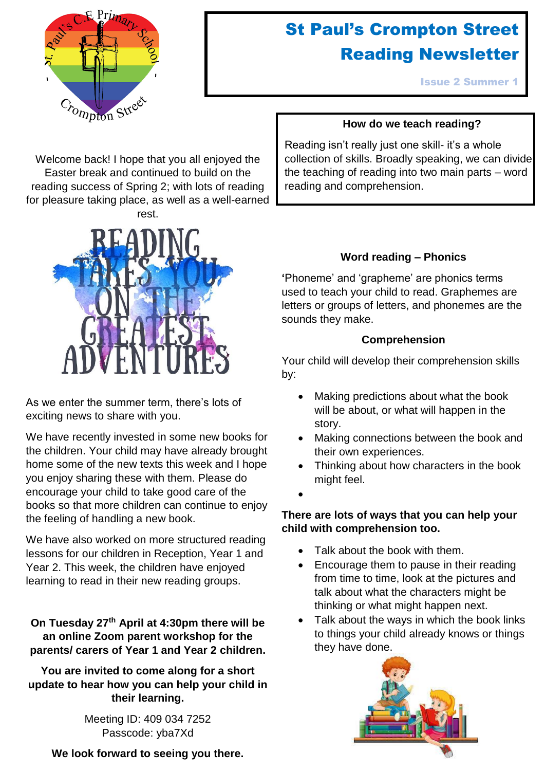

# St Paul's Crompton Street Reading Newsletter

Issue 2 Summer 1

# **How do we teach reading?**

Welcome back! I hope that you all enjoyed the Easter break and continued to build on the reading success of Spring 2; with lots of reading for pleasure taking place, as well as a well-earned rest.



As we enter the summer term, there's lots of exciting news to share with you.

We have recently invested in some new books for the children. Your child may have already brought home some of the new texts this week and I hope you enjoy sharing these with them. Please do encourage your child to take good care of the books so that more children can continue to enjoy the feeling of handling a new book.

We have also worked on more structured reading lessons for our children in Reception, Year 1 and Year 2. This week, the children have enjoyed learning to read in their new reading groups.

**On Tuesday 27th April at 4:30pm there will be an online Zoom parent workshop for the parents/ carers of Year 1 and Year 2 children.** 

**You are invited to come along for a short update to hear how you can help your child in their learning.**

> Meeting ID: 409 034 7252 Passcode: yba7Xd

**We look forward to seeing you there.**

Reading isn't really just one skill- it's a whole collection of skills. Broadly speaking, we can divide the teaching of reading into two main parts – word reading and comprehension.

# **Word reading – Phonics**

**'**Phoneme' and 'grapheme' are phonics terms used to teach your child to read. Graphemes are letters or groups of letters, and phonemes are the sounds they make.

#### **Comprehension**

Your child will develop their comprehension skills by:

- Making predictions about what the book will be about, or what will happen in the story.
- Making connections between the book and their own experiences.
- Thinking about how characters in the book might feel.
- $\bullet$

# **There are lots of ways that you can help your child with comprehension too.**

- Talk about the book with them.
- Encourage them to pause in their reading from time to time, look at the pictures and talk about what the characters might be thinking or what might happen next.
- Talk about the ways in which the book links to things your child already knows or things they have done.